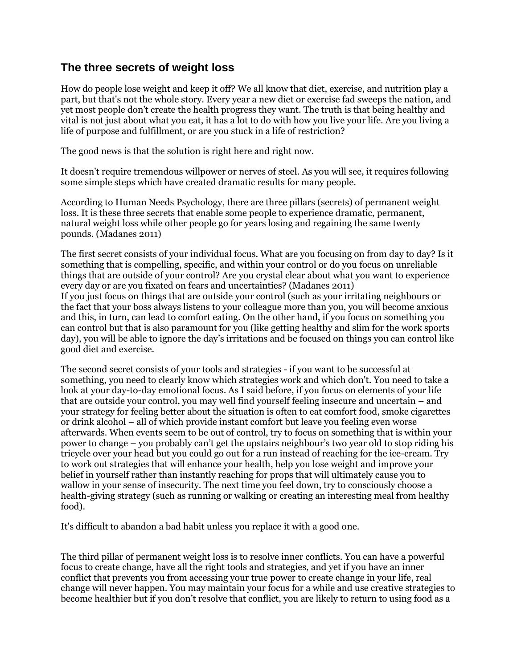## **The three secrets of weight loss**

How do people lose weight and keep it off? We all know that diet, exercise, and nutrition play a part, but that's not the whole story. Every year a new diet or exercise fad sweeps the nation, and yet most people don't create the health progress they want. The truth is that being healthy and vital is not just about what you eat, it has a lot to do with how you live your life. Are you living a life of purpose and fulfillment, or are you stuck in a life of restriction?

The good news is that the solution is right here and right now.

It doesn't require tremendous willpower or nerves of steel. As you will see, it requires following some simple steps which have created dramatic results for many people.

According to Human Needs Psychology, there are three pillars (secrets) of permanent weight loss. It is these three secrets that enable some people to experience dramatic, permanent, natural weight loss while other people go for years losing and regaining the same twenty pounds. (Madanes 2011)

The first secret consists of your individual focus. What are you focusing on from day to day? Is it something that is compelling, specific, and within your control or do you focus on unreliable things that are outside of your control? Are you crystal clear about what you want to experience every day or are you fixated on fears and uncertainties? (Madanes 2011) If you just focus on things that are outside your control (such as your irritating neighbours or the fact that your boss always listens to your colleague more than you, you will become anxious and this, in turn, can lead to comfort eating. On the other hand, if you focus on something you can control but that is also paramount for you (like getting healthy and slim for the work sports day), you will be able to ignore the day's irritations and be focused on things you can control like good diet and exercise.

The second secret consists of your tools and strategies - if you want to be successful at something, you need to clearly know which strategies work and which don't. You need to take a look at your day-to-day emotional focus. As I said before, if you focus on elements of your life that are outside your control, you may well find yourself feeling insecure and uncertain – and your strategy for feeling better about the situation is often to eat comfort food, smoke cigarettes or drink alcohol – all of which provide instant comfort but leave you feeling even worse afterwards. When events seem to be out of control, try to focus on something that is within your power to change – you probably can't get the upstairs neighbour's two year old to stop riding his tricycle over your head but you could go out for a run instead of reaching for the ice-cream. Try to work out strategies that will enhance your health, help you lose weight and improve your belief in yourself rather than instantly reaching for props that will ultimately cause you to wallow in your sense of insecurity. The next time you feel down, try to consciously choose a health-giving strategy (such as running or walking or creating an interesting meal from healthy food).

It's difficult to abandon a bad habit unless you replace it with a good one.

The third pillar of permanent weight loss is to resolve inner conflicts. You can have a powerful focus to create change, have all the right tools and strategies, and yet if you have an inner conflict that prevents you from accessing your true power to create change in your life, real change will never happen. You may maintain your focus for a while and use creative strategies to become healthier but if you don't resolve that conflict, you are likely to return to using food as a